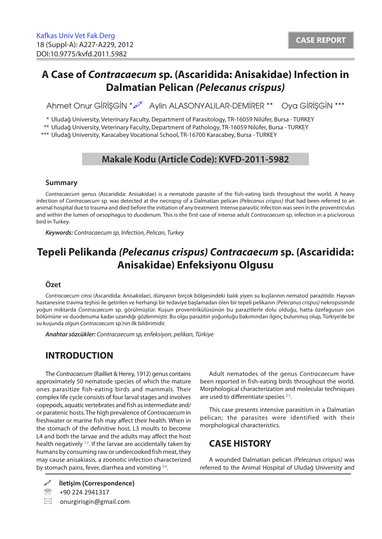# **A Case of** *Contracaecum* **sp. (Ascaridida: Anisakidae) Infection in Dalmatian Pelican** *(Pelecanus crispus)*

Ahmet Onur GİRİŞGİN \* 2 Aylin ALASONYALILAR-DEMİRER \*\* Oya GİRİŞGİN \*\*\*

\* Uludağ University, Veterinary Faculty, Department of Parasitology, TR-16059 Nilüfer, Bursa - TURKEY

\*\* Uludağ University, Veterinary Faculty, Department of Pathology, TR-16059 Nilüfer, Bursa - TURKEY

\*\*\* Uludağ University, Karacabey Vocational School, TR-16700 Karacabey, Bursa - TURKEY

## **Makale Kodu (Article Code): KVFD-2011-5982**

### **Summary**

*Contracaecum* genus (Ascaridida: Anisakidae) is a nematode parasite of the fish-eating birds throughout the world. A heavy infection of *Contracaecum* sp. was detected at the necropsy of a Dalmatian pelican *(Pelecanus crispus)* that had been referred to an animal hospital due to trauma and died before the initiation of any treatment. Intense parasitic infection was seen in the proventriculus and within the lumen of oesophagus to duodenum. This is the first case of intense adult *Contracaecum* sp. infection in a piscivorous bird in Turkey.

*Keywords: Contracaecum sp, Infection, Pelican, Turkey*

# **Tepeli Pelikanda** *(Pelecanus crispus) Contracaecum* **sp. (Ascaridida: Anisakidae) Enfeksiyonu Olgusu**

### **Özet**

*Contracaecum* cinsi (Ascaridida: Anisakidae), dünyanın birçok bölgesindeki balık yiyen su kuşlarının nematod parazitidir. Hayvan hastanesine travma teşhisi ile getirilen ve herhangi bir tedaviye başlamadan ölen bir tepeli pelikanın *(Pelecanus crispus)* nekropsisinde yoğun miktarda *Contracaecum* sp. görülmüştür. Kuşun proventrikülüsünün bu parazitlerle dolu olduğu, hatta özefagusun son bölümüne ve duodenuma kadar uzandığı gözlenmiştir. Bu olgu parazitin yoğunluğu bakımından ilginç bulunmuş olup, Türkiye'de bir su kuşunda olgun *Contracaecum* sp.'nin ilk bildirimidir.

*Anahtar sözcükler: Contracaecum sp, enfeksiyon, pelikan, Türkiye* 

## **INTRODUCTION**

The *Contracaecum* (Railliet & Henry, 1912) genus contains approximately 50 nematode species of which the mature ones parasitize fish-eating birds and mammals. Their complex life cycle consists of four larval stages and involves copepods, aquatic vertebrates and fish as intermediate and/ or paratenic hosts. The high prevalence of *Contracaecum* in freshwater or marine fish may affect their health. When in the stomach of the definitive host, L3 moults to become L4 and both the larvae and the adults may affect the host health negatively <sup>1,2</sup>. If the larvae are accidentally taken by humans by consuming raw or undercooked fish meat, they may cause anisakiasis, a zoonotic infection characterized by stomach pains, fever, diarrhea and vomiting [3,4.](#page-2-0)

**İletişim (Correspondence)**

<sup>2</sup> +90 224 2941317

 $\boxtimes$  onurgirisgin@gmail.com

Adult nematodes of the genus *Contracaecum* have been reported in fish-eating birds throughout the world. Morphological characterization and molecular techniques are used to differentiate species  $2.5$ .

This case presents intensive parasitism in a Dalmatian pelican; the parasites were identified with their morphological characteristics.

## **CASE HISTORY**

A wounded Dalmatian pelican *(Pelecanus crispus)* was referred to the Animal Hospital of Uludağ University and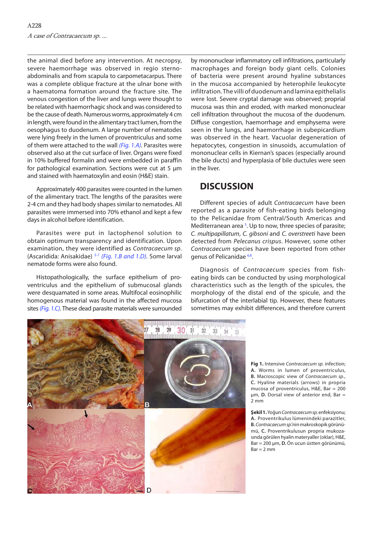the animal died before any intervention. At necropsy, severe haemorrhage was observed in regio sternoabdominalis and from scapula to carpometacarpus. There was a complete oblique fracture at the ulnar bone with a haematoma formation around the fracture site. The venous congestion of the liver and lungs were thought to be related with haemorrhagic shock and was considered to be the cause of death. Numerous worms, approximately 4 cm in length, were found in the alimentary tract lumen, from the oesophagus to duodenum. A large number of nematodes were lying freely in the lumen of proventriculus and some of them were attached to the wall *(Fig. 1.A).* Parasites were observed also at the cut surface of liver. Organs were fixed in 10% buffered formalin and were embedded in paraffin for pathological examination. Sections were cut at 5 µm and stained with haematoxylin and eosin (H&E) stain.

Approximately 400 parasites were counted in the lumen of the alimentary tract. The lengths of the parasites were 2-4 cm and they had body shapes similar to nematodes. All parasites were immersed into 70% ethanol and kept a few days in alcohol before identification.

Parasites were put in lactophenol solution to obtain optimum transparency and identification. Upon examination, they were identified as *Contracaecum sp*. (Ascaridida: Anisakidae) [5-7](#page-2-0) *(Fig. 1.B and 1.D).* Some larval nematode forms were also found.

Histopathologically, the surface epithelium of proventriculus and the epithelium of submucosal glands were desquamated in some areas. Multifocal eosinophilic homogenous material was found in the affected mucosa sites *(Fig. 1.C).* These dead parasite materials were surrounded

by mononuclear inflammatory cell infiltrations, particularly macrophages and foreign body giant cells. Colonies of bacteria were present around hyaline substances in the mucosa accompanied by heterophile leukocyte infiltration. The villi of duodenum and lamina epithelialis were lost. Severe cryptal damage was observed; proprial mucosa was thin and eroded, with marked mononuclear cell infiltration throughout the mucosa of the duodenum. Diffuse congestion, haemorrhage and emphysema were seen in the lungs, and haemorrhage in subepicardium was observed in the heart. Vacuolar degeneration of hepatocytes, congestion in sinusoids, accumulation of mononuclear cells in Kiernan's spaces (especially around the bile ducts) and hyperplasia of bile ductules were seen in the liver.

## **DISCUSSION**

Different species of adult *Contracaecum* have been reported as a parasite of fish-eating birds belonging to the Pelicanidae from Central/South Americas and Mediterranean area  $5$ . Up to now, three species of parasite; *C. multipapillatum*, *C. gibsoni* and *C. overstreeti* have been detected from *Pelecanus crispus*. However, some other *Contracaecum* species have been reported from other genus of Pelicanidae [6,8.](#page-2-0) 

Diagnosis of *Contracaecum* species from fisheating birds can be conducted by using morphological characteristics such as the length of the spicules, the morphology of the distal end of the spicule, and the bifurcation of the interlabial tip. However, these features sometimes may exhibit differences, and therefore current



**Fig 1.** Intensive *Contracaecum sp.* infection; **A.** Worms in lumen of proventriculus, **B.** Macroscopic view of *Contracaecum sp*., **C.** Hyaline materials (arrows) in propria mucosa of proventriculus, H&E, Bar = 200 µm, **D.** Dorsal view of anterior end, Bar = 2 mm

**Şekil 1.** Yoğun *Contracaecum sp.* enfeksiyonu; **A.** Proventrikulus lümenindeki parazitler, **B.** *Contracaecum sp*.'nin makroskopik görünümü, **C.** Proventrikulusun propria mukozasında görülen hyalin materyaller (oklar), H&E, Bar = 200 µm, **D.** Ön ucun üstten görünümü,  $Bar = 2 mm$